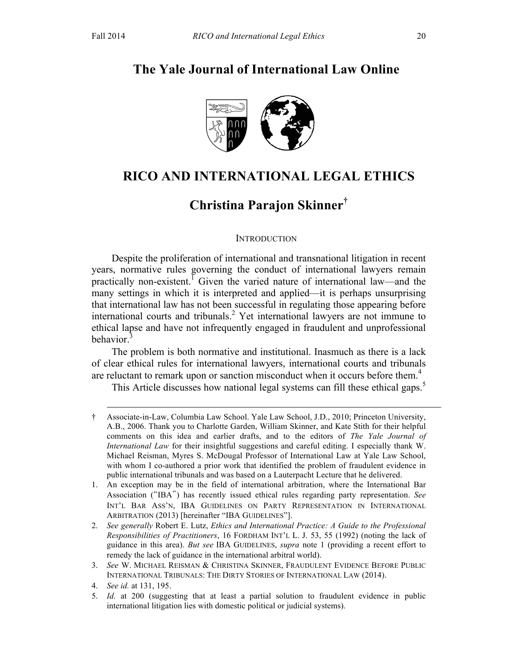# **The Yale Journal of International Law Online**



# **RICO AND INTERNATIONAL LEGAL ETHICS**

# **Christina Parajon Skinner†**

### **INTRODUCTION**

Despite the proliferation of international and transnational litigation in recent years, normative rules governing the conduct of international lawyers remain practically non-existent.<sup> $\overrightarrow{1}$ </sup> Given the varied nature of international law—and the many settings in which it is interpreted and applied—it is perhaps unsurprising that international law has not been successful in regulating those appearing before international courts and tribunals.<sup>2</sup> Yet international lawyers are not immune to ethical lapse and have not infrequently engaged in fraudulent and unprofessional behavior.<sup>3</sup>

The problem is both normative and institutional. Inasmuch as there is a lack of clear ethical rules for international lawyers, international courts and tribunals are reluctant to remark upon or sanction misconduct when it occurs before them.<sup>4</sup>

This Article discusses how national legal systems can fill these ethical gaps.<sup>5</sup>

 <sup>†</sup> Associate-in-Law, Columbia Law School. Yale Law School, J.D., 2010; Princeton University, A.B., 2006. Thank you to Charlotte Garden, William Skinner, and Kate Stith for their helpful comments on this idea and earlier drafts, and to the editors of *The Yale Journal of International Law* for their insightful suggestions and careful editing. I especially thank W. Michael Reisman, Myres S. McDougal Professor of International Law at Yale Law School, with whom I co-authored a prior work that identified the problem of fraudulent evidence in public international tribunals and was based on a Lauterpacht Lecture that he delivered.

<sup>1.</sup> An exception may be in the field of international arbitration, where the International Bar Association ("IBA") has recently issued ethical rules regarding party representation. *See*  INT'L BAR ASS'N, IBA GUIDELINES ON PARTY REPRESENTATION IN INTERNATIONAL ARBITRATION (2013) [hereinafter "IBA GUIDELINES"].

<sup>2.</sup> *See generally* Robert E. Lutz, *Ethics and International Practice: A Guide to the Professional Responsibilities of Practitioners*, 16 FORDHAM INT'L L. J. 53, 55 (1992) (noting the lack of guidance in this area). *But see* IBA GUIDELINES, *supra* note 1 (providing a recent effort to remedy the lack of guidance in the international arbitral world).

<sup>3.</sup> *See* W. MICHAEL REISMAN & CHRISTINA SKINNER, FRAUDULENT EVIDENCE BEFORE PUBLIC INTERNATIONAL TRIBUNALS: THE DIRTY STORIES OF INTERNATIONAL LAW (2014).

<sup>4.</sup> *See id.* at 131, 195.

<sup>5.</sup> *Id.* at 200 (suggesting that at least a partial solution to fraudulent evidence in public international litigation lies with domestic political or judicial systems).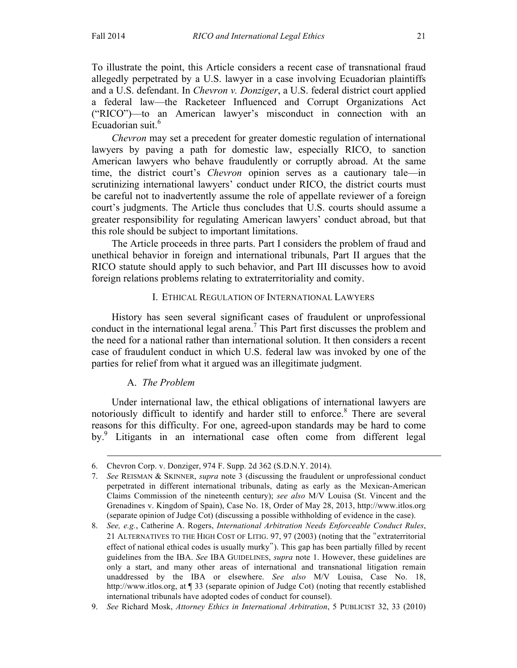To illustrate the point, this Article considers a recent case of transnational fraud allegedly perpetrated by a U.S. lawyer in a case involving Ecuadorian plaintiffs and a U.S. defendant. In *Chevron v. Donziger*, a U.S. federal district court applied a federal law—the Racketeer Influenced and Corrupt Organizations Act ("RICO")—to an American lawyer's misconduct in connection with an Ecuadorian suit.<sup>6</sup>

*Chevron* may set a precedent for greater domestic regulation of international lawyers by paving a path for domestic law, especially RICO, to sanction American lawyers who behave fraudulently or corruptly abroad. At the same time, the district court's *Chevron* opinion serves as a cautionary tale—in scrutinizing international lawyers' conduct under RICO, the district courts must be careful not to inadvertently assume the role of appellate reviewer of a foreign court's judgments. The Article thus concludes that U.S. courts should assume a greater responsibility for regulating American lawyers' conduct abroad, but that this role should be subject to important limitations.

The Article proceeds in three parts. Part I considers the problem of fraud and unethical behavior in foreign and international tribunals, Part II argues that the RICO statute should apply to such behavior, and Part III discusses how to avoid foreign relations problems relating to extraterritoriality and comity.

# I. ETHICAL REGULATION OF INTERNATIONAL LAWYERS

History has seen several significant cases of fraudulent or unprofessional conduct in the international legal arena.<sup>7</sup> This Part first discusses the problem and the need for a national rather than international solution. It then considers a recent case of fraudulent conduct in which U.S. federal law was invoked by one of the parties for relief from what it argued was an illegitimate judgment.

# A. *The Problem*

 $\overline{a}$ 

Under international law, the ethical obligations of international lawyers are notoriously difficult to identify and harder still to enforce.<sup>8</sup> There are several reasons for this difficulty. For one, agreed-upon standards may be hard to come by.<sup>9</sup> Litigants in an international case often come from different legal

<sup>6.</sup> Chevron Corp. v. Donziger, 974 F. Supp. 2d 362 (S.D.N.Y. 2014).

<sup>7.</sup> *See* REISMAN & SKINNER, *supra* note 3 (discussing the fraudulent or unprofessional conduct perpetrated in different international tribunals, dating as early as the Mexican-American Claims Commission of the nineteenth century); *see also* M/V Louisa (St. Vincent and the Grenadines v. Kingdom of Spain), Case No. 18, Order of May 28, 2013, http://www.itlos.org (separate opinion of Judge Cot) (discussing a possible withholding of evidence in the case).

<sup>8.</sup> *See, e.g.*, Catherine A. Rogers, *International Arbitration Needs Enforceable Conduct Rules*, 21 ALTERNATIVES TO THE HIGH COST OF LITIG. 97, 97 (2003) (noting that the "extraterritorial effect of national ethical codes is usually murky"). This gap has been partially filled by recent guidelines from the IBA. *See* IBA GUIDELINES, *supra* note 1. However, these guidelines are only a start, and many other areas of international and transnational litigation remain unaddressed by the IBA or elsewhere. *See also* M/V Louisa, Case No. 18, http://www.itlos.org, at  $\P$  33 (separate opinion of Judge Cot) (noting that recently established international tribunals have adopted codes of conduct for counsel).

<sup>9.</sup> *See* Richard Mosk, *Attorney Ethics in International Arbitration*, 5 PUBLICIST 32, 33 (2010)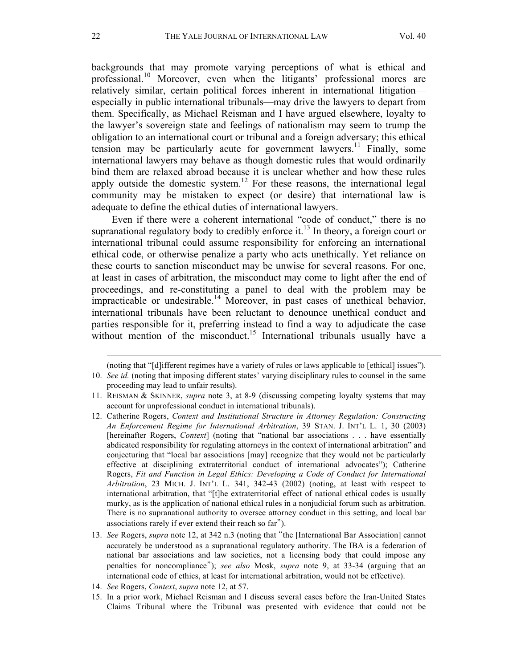backgrounds that may promote varying perceptions of what is ethical and professional.<sup>10</sup> Moreover, even when the litigants' professional mores are relatively similar, certain political forces inherent in international litigation especially in public international tribunals—may drive the lawyers to depart from them. Specifically, as Michael Reisman and I have argued elsewhere, loyalty to the lawyer's sovereign state and feelings of nationalism may seem to trump the obligation to an international court or tribunal and a foreign adversary; this ethical tension may be particularly acute for government lawyers.<sup>11</sup> Finally, some international lawyers may behave as though domestic rules that would ordinarily bind them are relaxed abroad because it is unclear whether and how these rules apply outside the domestic system.<sup>12</sup> For these reasons, the international legal community may be mistaken to expect (or desire) that international law is adequate to define the ethical duties of international lawyers.

Even if there were a coherent international "code of conduct," there is no supranational regulatory body to credibly enforce it.<sup>13</sup> In theory, a foreign court or international tribunal could assume responsibility for enforcing an international ethical code, or otherwise penalize a party who acts unethically. Yet reliance on these courts to sanction misconduct may be unwise for several reasons. For one, at least in cases of arbitration, the misconduct may come to light after the end of proceedings, and re-constituting a panel to deal with the problem may be impracticable or undesirable.<sup>14</sup> Moreover, in past cases of unethical behavior, international tribunals have been reluctant to denounce unethical conduct and parties responsible for it, preferring instead to find a way to adjudicate the case without mention of the misconduct.<sup>15</sup> International tribunals usually have a

(noting that "[d]ifferent regimes have a variety of rules or laws applicable to [ethical] issues").

15. In a prior work, Michael Reisman and I discuss several cases before the Iran-United States Claims Tribunal where the Tribunal was presented with evidence that could not be

<sup>10.</sup> *See id.* (noting that imposing different states' varying disciplinary rules to counsel in the same proceeding may lead to unfair results).

<sup>11.</sup> REISMAN & SKINNER, *supra* note 3, at 8-9 (discussing competing loyalty systems that may account for unprofessional conduct in international tribunals).

<sup>12.</sup> Catherine Rogers, *Context and Institutional Structure in Attorney Regulation: Constructing An Enforcement Regime for International Arbitration*, 39 STAN. J. INT'L L. 1, 30 (2003) [hereinafter Rogers, *Context*] (noting that "national bar associations . . . have essentially abdicated responsibility for regulating attorneys in the context of international arbitration" and conjecturing that "local bar associations [may] recognize that they would not be particularly effective at disciplining extraterritorial conduct of international advocates"); Catherine Rogers, *Fit and Function in Legal Ethics: Developing a Code of Conduct for International Arbitration*, 23 MICH. J. INT'L L. 341, 342-43 (2002) (noting, at least with respect to international arbitration, that "[t]he extraterritorial effect of national ethical codes is usually murky, as is the application of national ethical rules in a nonjudicial forum such as arbitration. There is no supranational authority to oversee attorney conduct in this setting, and local bar associations rarely if ever extend their reach so far").

<sup>13.</sup> *See* Rogers, *supra* note 12, at 342 n.3 (noting that "the [International Bar Association] cannot accurately be understood as a supranational regulatory authority. The IBA is a federation of national bar associations and law societies, not a licensing body that could impose any penalties for noncompliance"); *see also* Mosk, *supra* note 9, at 33-34 (arguing that an international code of ethics, at least for international arbitration, would not be effective).

<sup>14.</sup> *See* Rogers, *Context*, *supra* note 12, at 57.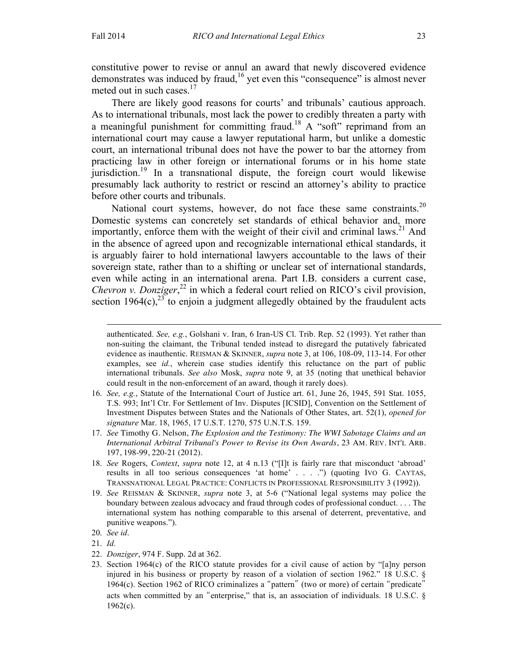constitutive power to revise or annul an award that newly discovered evidence demonstrates was induced by fraud,<sup>16</sup> yet even this "consequence" is almost never meted out in such cases.<sup>17</sup>

There are likely good reasons for courts' and tribunals' cautious approach. As to international tribunals, most lack the power to credibly threaten a party with a meaningful punishment for committing fraud.<sup>18</sup> A "soft" reprimand from an international court may cause a lawyer reputational harm, but unlike a domestic court, an international tribunal does not have the power to bar the attorney from practicing law in other foreign or international forums or in his home state jurisdiction.19 In a transnational dispute, the foreign court would likewise presumably lack authority to restrict or rescind an attorney's ability to practice before other courts and tribunals.

National court systems, however, do not face these same constraints.<sup>20</sup> Domestic systems can concretely set standards of ethical behavior and, more importantly, enforce them with the weight of their civil and criminal laws.<sup>21</sup> And in the absence of agreed upon and recognizable international ethical standards, it is arguably fairer to hold international lawyers accountable to the laws of their sovereign state, rather than to a shifting or unclear set of international standards, even while acting in an international arena. Part I.B. considers a current case, *Chevron v. Donziger*, <sup>22</sup> in which a federal court relied on RICO's civil provision, section 1964(c),<sup>23</sup> to enjoin a judgment allegedly obtained by the fraudulent acts

authenticated. *See, e.g.*, Golshani v. Iran, 6 Iran-US Cl. Trib. Rep. 52 (1993). Yet rather than non-suiting the claimant, the Tribunal tended instead to disregard the putatively fabricated evidence as inauthentic. REISMAN & SKINNER, *supra* note 3, at 106, 108-09, 113-14. For other examples, see *id.*, wherein case studies identify this reluctance on the part of public international tribunals. *See also* Mosk, *supra* note 9, at 35 (noting that unethical behavior could result in the non-enforcement of an award, though it rarely does).

<sup>16.</sup> *See, e.g.*, Statute of the International Court of Justice art. 61, June 26, 1945, 591 Stat. 1055, T.S. 993; Int'l Ctr. For Settlement of Inv. Disputes [ICSID], Convention on the Settlement of Investment Disputes between States and the Nationals of Other States, art. 52(1), *opened for signature* Mar. 18, 1965, 17 U.S.T. 1270, 575 U.N.T.S. 159.

<sup>17.</sup> *See* Timothy G. Nelson, *The Explosion and the Testimony: The WWI Sabotage Claims and an International Arbitral Tribunal's Power to Revise its Own Awards*, 23 AM. REV. INT'L ARB. 197, 198-99, 220-21 (2012).

<sup>18.</sup> *See* Rogers, *Context*, *supra* note 12, at 4 n.13 ("[I]t is fairly rare that misconduct 'abroad' results in all too serious consequences 'at home' . . . .") (quoting IVO G. CAYTAS, TRANSNATIONAL LEGAL PRACTICE: CONFLICTS IN PROFESSIONAL RESPONSIBILITY 3 (1992)).

<sup>19.</sup> *See* REISMAN & SKINNER, *supra* note 3, at 5-6 ("National legal systems may police the boundary between zealous advocacy and fraud through codes of professional conduct. . . . The international system has nothing comparable to this arsenal of deterrent, preventative, and punitive weapons.").

<sup>20.</sup> *See id*.

<sup>21.</sup> *Id.* 

<sup>22.</sup> *Donziger*, 974 F. Supp. 2d at 362.

<sup>23.</sup> Section 1964(c) of the RICO statute provides for a civil cause of action by "[a]ny person injured in his business or property by reason of a violation of section 1962." 18 U.S.C. § 1964(c). Section 1962 of RICO criminalizes a "pattern" (two or more) of certain "predicate" acts when committed by an "enterprise," that is, an association of individuals. 18 U.S.C. §  $1962(c)$ .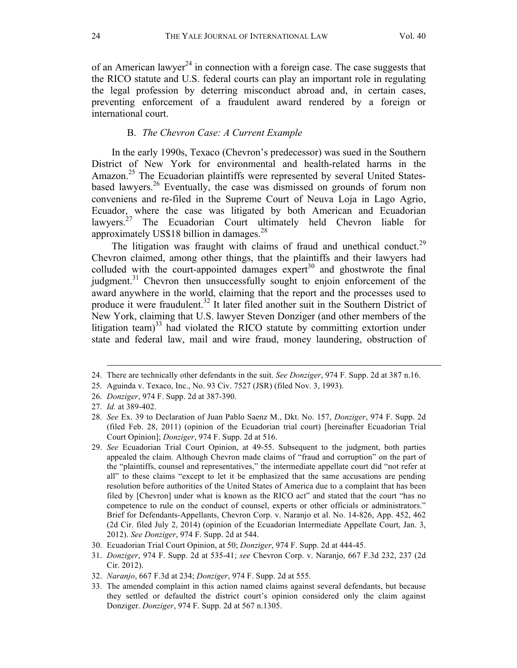of an American lawyer<sup>24</sup> in connection with a foreign case. The case suggests that the RICO statute and U.S. federal courts can play an important role in regulating the legal profession by deterring misconduct abroad and, in certain cases, preventing enforcement of a fraudulent award rendered by a foreign or international court.

### B. *The Chevron Case: A Current Example*

In the early 1990s, Texaco (Chevron's predecessor) was sued in the Southern District of New York for environmental and health-related harms in the Amazon.<sup>25</sup> The Ecuadorian plaintiffs were represented by several United Statesbased lawyers.<sup>26</sup> Eventually, the case was dismissed on grounds of forum non conveniens and re-filed in the Supreme Court of Neuva Loja in Lago Agrio, Ecuador, where the case was litigated by both American and Ecuadorian lawyers.<sup>27</sup> The Ecuadorian Court ultimately held Chevron liable for approximately US\$18 billion in damages.<sup>28</sup>

The litigation was fraught with claims of fraud and unethical conduct.<sup>29</sup> Chevron claimed, among other things, that the plaintiffs and their lawyers had colluded with the court-appointed damages expert $30$  and ghostwrote the final judgment.<sup>31</sup> Chevron then unsuccessfully sought to enjoin enforcement of the award anywhere in the world, claiming that the report and the processes used to produce it were fraudulent.<sup>32</sup> It later filed another suit in the Southern District of New York, claiming that U.S. lawyer Steven Donziger (and other members of the litigation team) $33$  had violated the RICO statute by committing extortion under state and federal law, mail and wire fraud, money laundering, obstruction of

<sup>24.</sup> There are technically other defendants in the suit. *See Donziger*, 974 F. Supp. 2d at 387 n.16.

<sup>25.</sup> Aguinda v. Texaco, Inc., No. 93 Civ. 7527 (JSR) (filed Nov. 3, 1993).

<sup>26.</sup> *Donziger*, 974 F. Supp. 2d at 387-390.

<sup>27.</sup> *Id.* at 389-402.

<sup>28.</sup> *See* Ex. 39 to Declaration of Juan Pablo Saenz M., Dkt. No. 157, *Donziger*, 974 F. Supp. 2d (filed Feb. 28, 2011) (opinion of the Ecuadorian trial court) [hereinafter Ecuadorian Trial Court Opinion]; *Donziger*, 974 F. Supp. 2d at 516.

<sup>29.</sup> *See* Ecuadorian Trial Court Opinion, at 49-55. Subsequent to the judgment, both parties appealed the claim. Although Chevron made claims of "fraud and corruption" on the part of the "plaintiffs, counsel and representatives," the intermediate appellate court did "not refer at all" to these claims "except to let it be emphasized that the same accusations are pending resolution before authorities of the United States of America due to a complaint that has been filed by [Chevron] under what is known as the RICO act" and stated that the court "has no competence to rule on the conduct of counsel, experts or other officials or administrators." Brief for Defendants-Appellants, Chevron Corp. v. Naranjo et al. No. 14-826, App. 452, 462 (2d Cir. filed July 2, 2014) (opinion of the Ecuadorian Intermediate Appellate Court, Jan. 3, 2012). *See Donziger*, 974 F. Supp. 2d at 544.

<sup>30.</sup> Ecuadorian Trial Court Opinion, at 50; *Donziger*, 974 F. Supp. 2d at 444-45.

<sup>31.</sup> *Donziger*, 974 F. Supp. 2d at 535-41; *see* Chevron Corp. v. Naranjo, 667 F.3d 232, 237 (2d Cir. 2012).

<sup>32.</sup> *Naranjo*, 667 F.3d at 234; *Donziger*, 974 F. Supp. 2d at 555.

<sup>33.</sup> The amended complaint in this action named claims against several defendants, but because they settled or defaulted the district court's opinion considered only the claim against Donziger. *Donziger*, 974 F. Supp. 2d at 567 n.1305.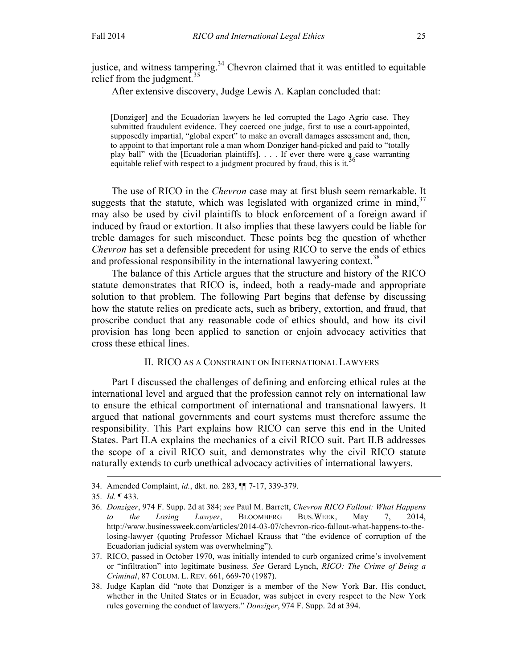justice, and witness tampering. $34$  Chevron claimed that it was entitled to equitable relief from the judgment. $35$ 

After extensive discovery, Judge Lewis A. Kaplan concluded that:

[Donziger] and the Ecuadorian lawyers he led corrupted the Lago Agrio case. They submitted fraudulent evidence. They coerced one judge, first to use a court-appointed, supposedly impartial, "global expert" to make an overall damages assessment and, then, to appoint to that important role a man whom Donziger hand-picked and paid to "totally play ball" with the [Ecuadorian plaintiffs]. . . . If ever there were a case warranting equitable relief with respect to a judgment procured by fraud, this is it.

The use of RICO in the *Chevron* case may at first blush seem remarkable. It suggests that the statute, which was legislated with organized crime in mind,  $37$ may also be used by civil plaintiffs to block enforcement of a foreign award if induced by fraud or extortion. It also implies that these lawyers could be liable for treble damages for such misconduct. These points beg the question of whether *Chevron* has set a defensible precedent for using RICO to serve the ends of ethics and professional responsibility in the international lawyering context.<sup>38</sup>

The balance of this Article argues that the structure and history of the RICO statute demonstrates that RICO is, indeed, both a ready-made and appropriate solution to that problem. The following Part begins that defense by discussing how the statute relies on predicate acts, such as bribery, extortion, and fraud, that proscribe conduct that any reasonable code of ethics should, and how its civil provision has long been applied to sanction or enjoin advocacy activities that cross these ethical lines.

### II. RICO AS A CONSTRAINT ON INTERNATIONAL LAWYERS

Part I discussed the challenges of defining and enforcing ethical rules at the international level and argued that the profession cannot rely on international law to ensure the ethical comportment of international and transnational lawyers. It argued that national governments and court systems must therefore assume the responsibility. This Part explains how RICO can serve this end in the United States. Part II.A explains the mechanics of a civil RICO suit. Part II.B addresses the scope of a civil RICO suit, and demonstrates why the civil RICO statute naturally extends to curb unethical advocacy activities of international lawyers.

<sup>34.</sup> Amended Complaint, *id.*, dkt. no. 283, ¶¶ 7-17, 339-379.

<sup>35.</sup> *Id.* ¶ 433.

<sup>36.</sup> *Donziger*, 974 F. Supp. 2d at 384; *see* Paul M. Barrett, *Chevron RICO Fallout: What Happens to the Losing Lawyer*, BLOOMBERG BUS.WEEK, May 7, 2014, http://www.businessweek.com/articles/2014-03-07/chevron-rico-fallout-what-happens-to-thelosing-lawyer (quoting Professor Michael Krauss that "the evidence of corruption of the Ecuadorian judicial system was overwhelming").

<sup>37.</sup> RICO, passed in October 1970, was initially intended to curb organized crime's involvement or "infiltration" into legitimate business. *See* Gerard Lynch, *RICO: The Crime of Being a Criminal*, 87 COLUM. L. REV. 661, 669-70 (1987).

<sup>38.</sup> Judge Kaplan did "note that Donziger is a member of the New York Bar. His conduct, whether in the United States or in Ecuador, was subject in every respect to the New York rules governing the conduct of lawyers." *Donziger*, 974 F. Supp. 2d at 394.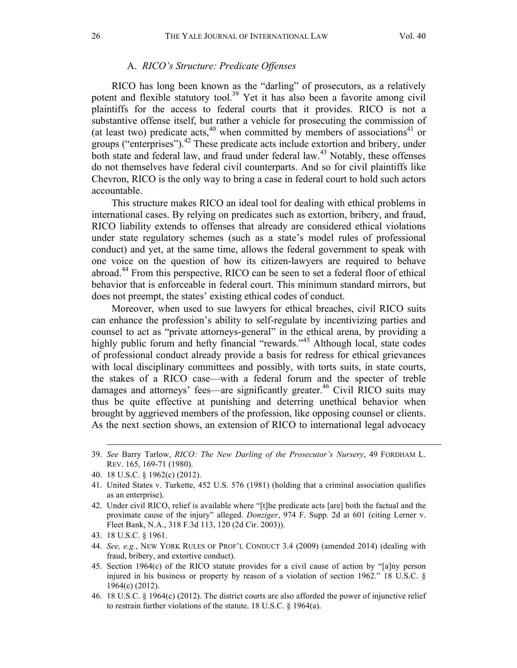#### A. *RICO's Structure: Predicate Offenses*

RICO has long been known as the "darling" of prosecutors, as a relatively potent and flexible statutory tool. <sup>39</sup> Yet it has also been a favorite among civil plaintiffs for the access to federal courts that it provides. RICO is not a substantive offense itself, but rather a vehicle for prosecuting the commission of (at least two) predicate acts,  $40$  when committed by members of associations<sup>41</sup> or groups ("enterprises"). <sup>42</sup> These predicate acts include extortion and bribery, under both state and federal law, and fraud under federal law.<sup>43</sup> Notably, these offenses do not themselves have federal civil counterparts. And so for civil plaintiffs like Chevron, RICO is the only way to bring a case in federal court to hold such actors accountable.

This structure makes RICO an ideal tool for dealing with ethical problems in international cases. By relying on predicates such as extortion, bribery, and fraud, RICO liability extends to offenses that already are considered ethical violations under state regulatory schemes (such as a state's model rules of professional conduct) and yet, at the same time, allows the federal government to speak with one voice on the question of how its citizen-lawyers are required to behave abroad. <sup>44</sup> From this perspective, RICO can be seen to set a federal floor of ethical behavior that is enforceable in federal court. This minimum standard mirrors, but does not preempt, the states' existing ethical codes of conduct.

Moreover, when used to sue lawyers for ethical breaches, civil RICO suits can enhance the profession's ability to self-regulate by incentivizing parties and counsel to act as "private attorneys-general" in the ethical arena, by providing a highly public forum and hefty financial "rewards."<sup>45</sup> Although local, state codes of professional conduct already provide a basis for redress for ethical grievances with local disciplinary committees and possibly, with torts suits, in state courts, the stakes of a RICO case—with a federal forum and the specter of treble damages and attorneys' fees—are significantly greater.<sup>46</sup> Civil RICO suits may thus be quite effective at punishing and deterring unethical behavior when brought by aggrieved members of the profession, like opposing counsel or clients. As the next section shows, an extension of RICO to international legal advocacy

- 44. *See, e.g.*, NEW YORK RULES OF PROF'L CONDUCT 3.4 (2009) (amended 2014) (dealing with fraud, bribery, and extortive conduct).
- 45. Section 1964(c) of the RICO statute provides for a civil cause of action by "[a]ny person injured in his business or property by reason of a violation of section 1962." 18 U.S.C. § 1964(c) (2012).

<sup>39.</sup> *See* Barry Tarlow, *RICO: The New Darling of the Prosecutor's Nursery*, 49 FORDHAM L. REV. 165, 169-71 (1980).

<sup>40.</sup> 18 U.S.C. § 1962(c) (2012).

<sup>41.</sup> United States v. Turkette, 452 U.S. 576 (1981) (holding that a criminal association qualifies as an enterprise).

<sup>42.</sup> Under civil RICO, relief is available where "[t]he predicate acts [are] both the factual and the proximate cause of the injury" alleged. *Donziger*, 974 F. Supp. 2d at 601 (citing Lerner v. Fleet Bank, N.A., 318 F.3d 113, 120 (2d Cir. 2003)).

<sup>43.</sup> 18 U.S.C. § 1961.

<sup>46.</sup> 18 U.S.C. § 1964(c) (2012). The district courts are also afforded the power of injunctive relief to restrain further violations of the statute. 18 U.S.C. § 1964(a).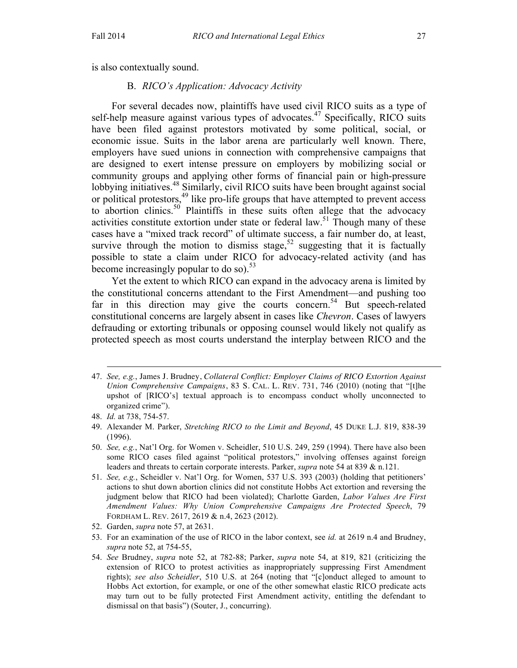is also contextually sound.

#### B. *RICO's Application: Advocacy Activity*

For several decades now, plaintiffs have used civil RICO suits as a type of self-help measure against various types of advocates.<sup>47</sup> Specifically, RICO suits have been filed against protestors motivated by some political, social, or economic issue. Suits in the labor arena are particularly well known. There, employers have sued unions in connection with comprehensive campaigns that are designed to exert intense pressure on employers by mobilizing social or community groups and applying other forms of financial pain or high-pressure lobbying initiatives.<sup>48</sup> Similarly, civil RICO suits have been brought against social or political protestors,<sup>49</sup> like pro-life groups that have attempted to prevent access to abortion clinics.<sup>50</sup> Plaintiffs in these suits often allege that the advocacy activities constitute extortion under state or federal law.<sup>51</sup> Though many of these cases have a "mixed track record" of ultimate success, a fair number do, at least, survive through the motion to dismiss stage,<sup>52</sup> suggesting that it is factually possible to state a claim under RICO for advocacy-related activity (and has become increasingly popular to do so). $53$ 

Yet the extent to which RICO can expand in the advocacy arena is limited by the constitutional concerns attendant to the First Amendment—and pushing too far in this direction may give the courts concern.<sup>54</sup> But speech-related constitutional concerns are largely absent in cases like *Chevron*. Cases of lawyers defrauding or extorting tribunals or opposing counsel would likely not qualify as protected speech as most courts understand the interplay between RICO and the

<sup>47.</sup> *See, e.g.*, James J. Brudney, *Collateral Conflict: Employer Claims of RICO Extortion Against Union Comprehensive Campaigns*, 83 S. CAL. L. REV. 731, 746 (2010) (noting that "[t]he upshot of [RICO's] textual approach is to encompass conduct wholly unconnected to organized crime").

<sup>48.</sup> *Id.* at 738, 754-57.

<sup>49.</sup> Alexander M. Parker, *Stretching RICO to the Limit and Beyond*, 45 DUKE L.J. 819, 838-39 (1996).

<sup>50.</sup> *See, e.g.*, Nat'l Org. for Women v. Scheidler, 510 U.S. 249, 259 (1994). There have also been some RICO cases filed against "political protestors," involving offenses against foreign leaders and threats to certain corporate interests. Parker, *supra* note 54 at 839 & n.121.

<sup>51.</sup> *See, e.g.*, Scheidler v. Nat'l Org. for Women, 537 U.S. 393 (2003) (holding that petitioners' actions to shut down abortion clinics did not constitute Hobbs Act extortion and reversing the judgment below that RICO had been violated); Charlotte Garden, *Labor Values Are First Amendment Values: Why Union Comprehensive Campaigns Are Protected Speech*, 79 FORDHAM L. REV. 2617, 2619 & n.4, 2623 (2012).

<sup>52.</sup> Garden, *supra* note 57, at 2631.

<sup>53.</sup> For an examination of the use of RICO in the labor context, see *id.* at 2619 n.4 and Brudney, *supra* note 52, at 754-55,

<sup>54.</sup> *See* Brudney, *supra* note 52, at 782-88; Parker, *supra* note 54, at 819, 821 (criticizing the extension of RICO to protest activities as inappropriately suppressing First Amendment rights); *see also Scheidler*, 510 U.S. at 264 (noting that "[c]onduct alleged to amount to Hobbs Act extortion, for example, or one of the other somewhat elastic RICO predicate acts may turn out to be fully protected First Amendment activity, entitling the defendant to dismissal on that basis") (Souter, J., concurring).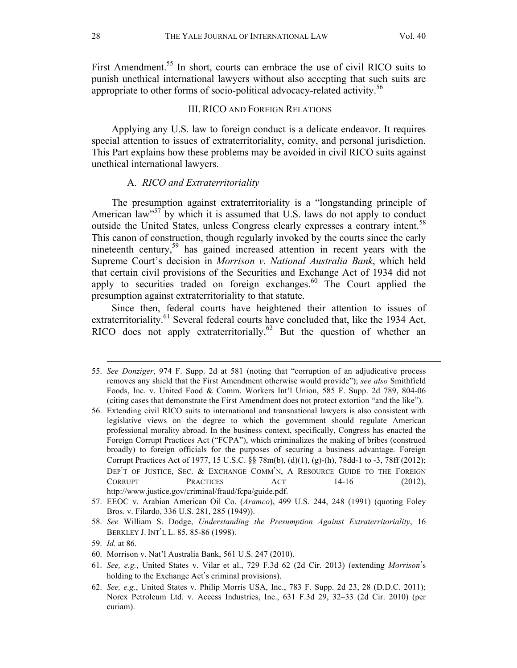First Amendment.<sup>55</sup> In short, courts can embrace the use of civil RICO suits to punish unethical international lawyers without also accepting that such suits are appropriate to other forms of socio-political advocacy-related activity.<sup>56</sup>

#### III.RICO AND FOREIGN RELATIONS

Applying any U.S. law to foreign conduct is a delicate endeavor. It requires special attention to issues of extraterritoriality, comity, and personal jurisdiction. This Part explains how these problems may be avoided in civil RICO suits against unethical international lawyers.

### A. *RICO and Extraterritoriality*

The presumption against extraterritoriality is a "longstanding principle of American law<sup>57</sup> by which it is assumed that U.S. laws do not apply to conduct outside the United States, unless Congress clearly expresses a contrary intent.<sup>58</sup> This canon of construction, though regularly invoked by the courts since the early nineteenth century,<sup>59</sup> has gained increased attention in recent years with the Supreme Court's decision in *Morrison v. National Australia Bank*, which held that certain civil provisions of the Securities and Exchange Act of 1934 did not apply to securities traded on foreign exchanges.<sup>60</sup> The Court applied the presumption against extraterritoriality to that statute.

Since then, federal courts have heightened their attention to issues of extraterritoriality. $61$  Several federal courts have concluded that, like the 1934 Act, RICO does not apply extraterritorially.<sup>62</sup> But the question of whether an

<sup>55.</sup> *See Donziger*, 974 F. Supp. 2d at 581 (noting that "corruption of an adjudicative process removes any shield that the First Amendment otherwise would provide"); *see also* Smithfield Foods, Inc. v. United Food & Comm. Workers Int'l Union, 585 F. Supp. 2d 789, 804-06 (citing cases that demonstrate the First Amendment does not protect extortion "and the like").

<sup>56.</sup> Extending civil RICO suits to international and transnational lawyers is also consistent with legislative views on the degree to which the government should regulate American professional morality abroad. In the business context, specifically, Congress has enacted the Foreign Corrupt Practices Act ("FCPA"), which criminalizes the making of bribes (construed broadly) to foreign officials for the purposes of securing a business advantage. Foreign Corrupt Practices Act of 1977, 15 U.S.C. §§ 78m(b), (d)(1), (g)-(h), 78dd-1 to -3, 78ff (2012); DEP'T OF JUSTICE, SEC. & EXCHANGE COMM'N, A RESOURCE GUIDE TO THE FOREIGN CORRUPT PRACTICES ACT 14-16 (2012), http://www.justice.gov/criminal/fraud/fcpa/guide.pdf.

<sup>57.</sup> EEOC v. Arabian American Oil Co. (*Aramco*), 499 U.S. 244, 248 (1991) (quoting Foley Bros. v. Filardo, 336 U.S. 281, 285 (1949)).

<sup>58.</sup> *See* William S. Dodge, *Understanding the Presumption Against Extraterritoriality*, 16 BERKLEY J. INT'L L. 85, 85-86 (1998).

<sup>59.</sup> *Id.* at 86.

<sup>60.</sup> Morrison v. Nat'l Australia Bank, 561 U.S. 247 (2010).

<sup>61.</sup> *See, e.g.*, United States v. Vilar et al., 729 F.3d 62 (2d Cir. 2013) (extending *Morrison*'s holding to the Exchange Act's criminal provisions).

<sup>62.</sup> *See, e.g.*, United States v. Philip Morris USA, Inc., 783 F. Supp. 2d 23, 28 (D.D.C. 2011); Norex Petroleum Ltd. v. Access Industries, Inc., 631 F.3d 29, 32–33 (2d Cir. 2010) (per curiam).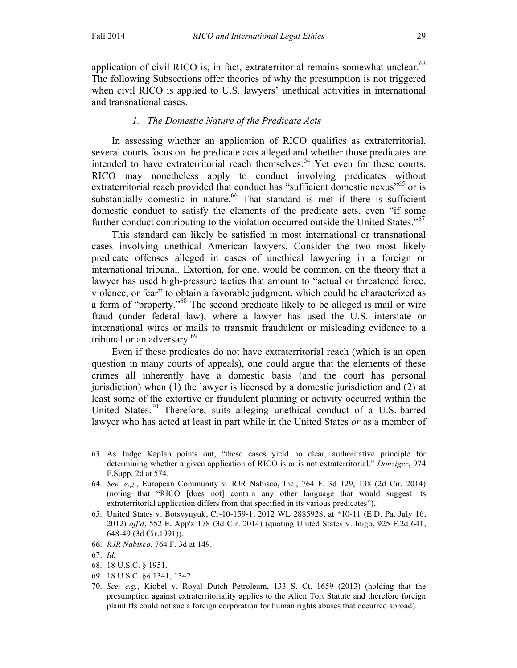application of civil RICO is, in fact, extraterritorial remains somewhat unclear. $63$ The following Subsections offer theories of why the presumption is not triggered when civil RICO is applied to U.S. lawyers' unethical activities in international and transnational cases.

## *1. The Domestic Nature of the Predicate Acts*

In assessing whether an application of RICO qualifies as extraterritorial, several courts focus on the predicate acts alleged and whether those predicates are intended to have extraterritorial reach themselves.<sup>64</sup> Yet even for these courts, RICO may nonetheless apply to conduct involving predicates without extraterritorial reach provided that conduct has "sufficient domestic nexus"<sup>65</sup> or is substantially domestic in nature.<sup>66</sup> That standard is met if there is sufficient domestic conduct to satisfy the elements of the predicate acts, even "if some further conduct contributing to the violation occurred outside the United States."<sup>67</sup>

This standard can likely be satisfied in most international or transnational cases involving unethical American lawyers. Consider the two most likely predicate offenses alleged in cases of unethical lawyering in a foreign or international tribunal. Extortion, for one, would be common, on the theory that a lawyer has used high-pressure tactics that amount to "actual or threatened force, violence, or fear" to obtain a favorable judgment, which could be characterized as a form of "property."<sup>68</sup> The second predicate likely to be alleged is mail or wire fraud (under federal law), where a lawyer has used the U.S. interstate or international wires or mails to transmit fraudulent or misleading evidence to a tribunal or an adversary.<sup>69</sup>

Even if these predicates do not have extraterritorial reach (which is an open question in many courts of appeals), one could argue that the elements of these crimes all inherently have a domestic basis (and the court has personal jurisdiction) when (1) the lawyer is licensed by a domestic jurisdiction and (2) at least some of the extortive or fraudulent planning or activity occurred within the United States.<sup>70</sup> Therefore, suits alleging unethical conduct of a U.S.-barred lawyer who has acted at least in part while in the United States *or* as a member of

<sup>63.</sup> As Judge Kaplan points out, "these cases yield no clear, authoritative principle for determining whether a given application of RICO is or is not extraterritorial." *Donziger*, 974 F.Supp. 2d at 574.

<sup>64.</sup> *See, e.g.*, European Community v. RJR Nabisco, Inc., 764 F. 3d 129, 138 (2d Cir. 2014) (noting that "RICO [does not] contain any other language that would suggest its extraterritorial application differs from that specified in its various predicates").

<sup>65.</sup> United States v. Botsvynyuk, Cr-10-159-1, 2012 WL 2885928, at \*10-11 (E.D. Pa. July 16, 2012) *aff'd*, 552 F. App'x 178 (3d Cir. 2014) (quoting United States v. Inigo, 925 F.2d 641, 648-49 (3d Cir.1991)).

<sup>66.</sup> *RJR Nabisco*, 764 F. 3d at 149.

<sup>67.</sup> *Id.* 

<sup>68.</sup> 18 U.S.C. § 1951.

<sup>69.</sup> 18 U.S.C. §§ 1341, 1342.

<sup>70.</sup> *See, e.g.*, Kiobel v. Royal Dutch Petroleum, 133 S. Ct. 1659 (2013) (holding that the presumption against extraterritoriality applies to the Alien Tort Statute and therefore foreign plaintiffs could not sue a foreign corporation for human rights abuses that occurred abroad).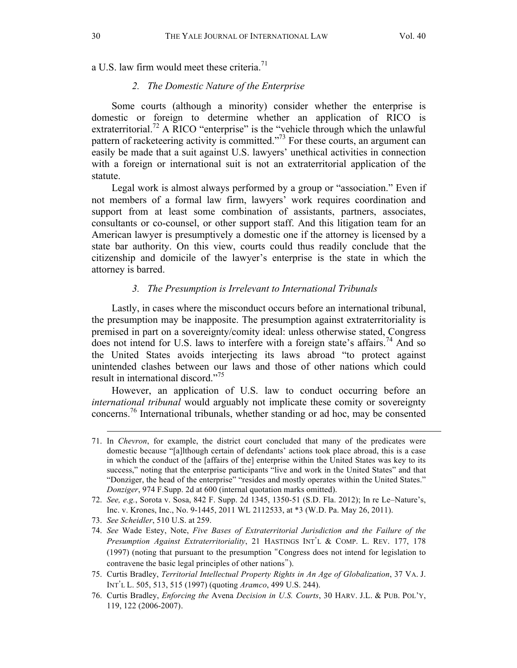a U.S. law firm would meet these criteria.<sup>71</sup>

#### *2. The Domestic Nature of the Enterprise*

Some courts (although a minority) consider whether the enterprise is domestic or foreign to determine whether an application of RICO is extraterritorial.<sup>72</sup> A RICO "enterprise" is the "vehicle through which the unlawful pattern of racketeering activity is committed."73 For these courts, an argument can easily be made that a suit against U.S. lawyers' unethical activities in connection with a foreign or international suit is not an extraterritorial application of the statute.

Legal work is almost always performed by a group or "association." Even if not members of a formal law firm, lawyers' work requires coordination and support from at least some combination of assistants, partners, associates, consultants or co-counsel, or other support staff. And this litigation team for an American lawyer is presumptively a domestic one if the attorney is licensed by a state bar authority. On this view, courts could thus readily conclude that the citizenship and domicile of the lawyer's enterprise is the state in which the attorney is barred.

#### *3. The Presumption is Irrelevant to International Tribunals*

Lastly, in cases where the misconduct occurs before an international tribunal, the presumption may be inapposite. The presumption against extraterritoriality is premised in part on a sovereignty/comity ideal: unless otherwise stated, Congress does not intend for U.S. laws to interfere with a foreign state's affairs.<sup>74</sup> And so the United States avoids interjecting its laws abroad "to protect against unintended clashes between our laws and those of other nations which could result in international discord."<sup>75</sup>

However, an application of U.S. law to conduct occurring before an *international tribunal* would arguably not implicate these comity or sovereignty concerns.76 International tribunals, whether standing or ad hoc, may be consented

 $\overline{a}$ 

75. Curtis Bradley, *Territorial Intellectual Property Rights in An Age of Globalization*, 37 VA. J. INT'L L. 505, 513, 515 (1997) (quoting *Aramco*, 499 U.S. 244).

<sup>71.</sup> In *Chevron*, for example, the district court concluded that many of the predicates were domestic because "[a]lthough certain of defendants' actions took place abroad, this is a case in which the conduct of the [affairs of the] enterprise within the United States was key to its success," noting that the enterprise participants "live and work in the United States" and that "Donziger, the head of the enterprise" "resides and mostly operates within the United States." *Donziger*, 974 F.Supp. 2d at 600 (internal quotation marks omitted).

<sup>72.</sup> *See, e.g.*, Sorota v. Sosa, 842 F. Supp. 2d 1345, 1350-51 (S.D. Fla. 2012); In re Le–Nature's, Inc. v. Krones, Inc., No. 9-1445, 2011 WL 2112533, at \*3 (W.D. Pa. May 26, 2011).

<sup>73.</sup> *See Scheidler*, 510 U.S. at 259.

<sup>74.</sup> *See* Wade Estey, Note, *Five Bases of Extraterritorial Jurisdiction and the Failure of the Presumption Against Extraterritoriality*, 21 HASTINGS INT'L & COMP. L. REV. 177, 178 (1997) (noting that pursuant to the presumption "Congress does not intend for legislation to contravene the basic legal principles of other nations").

<sup>76.</sup> Curtis Bradley, *Enforcing the* Avena *Decision in U.S. Courts*, 30 HARV. J.L. & PUB. POL'Y, 119, 122 (2006-2007).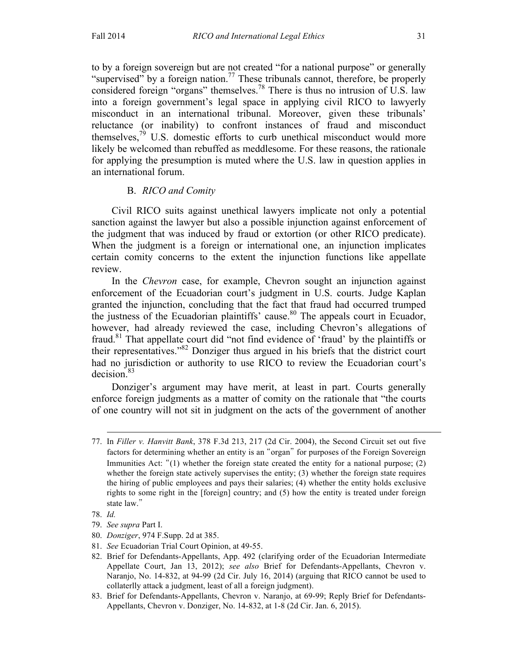to by a foreign sovereign but are not created "for a national purpose" or generally "supervised" by a foreign nation.<sup>77</sup> These tribunals cannot, therefore, be properly considered foreign "organs" themselves.<sup>78</sup> There is thus no intrusion of U.S. law into a foreign government's legal space in applying civil RICO to lawyerly misconduct in an international tribunal. Moreover, given these tribunals' reluctance (or inability) to confront instances of fraud and misconduct themselves, $^{79}$  U.S. domestic efforts to curb unethical misconduct would more likely be welcomed than rebuffed as meddlesome. For these reasons, the rationale for applying the presumption is muted where the U.S. law in question applies in an international forum.

# B. *RICO and Comity*

Civil RICO suits against unethical lawyers implicate not only a potential sanction against the lawyer but also a possible injunction against enforcement of the judgment that was induced by fraud or extortion (or other RICO predicate). When the judgment is a foreign or international one, an injunction implicates certain comity concerns to the extent the injunction functions like appellate review.

In the *Chevron* case, for example, Chevron sought an injunction against enforcement of the Ecuadorian court's judgment in U.S. courts. Judge Kaplan granted the injunction, concluding that the fact that fraud had occurred trumped the justness of the Ecuadorian plaintiffs' cause.<sup>80</sup> The appeals court in Ecuador, however, had already reviewed the case, including Chevron's allegations of fraud.81 That appellate court did "not find evidence of 'fraud' by the plaintiffs or their representatives."82 Donziger thus argued in his briefs that the district court had no jurisdiction or authority to use RICO to review the Ecuadorian court's decision.83

Donziger's argument may have merit, at least in part. Courts generally enforce foreign judgments as a matter of comity on the rationale that "the courts of one country will not sit in judgment on the acts of the government of another

- 80. *Donziger*, 974 F.Supp. 2d at 385.
- 81. *See* Ecuadorian Trial Court Opinion, at 49-55.
- 82. Brief for Defendants-Appellants, App. 492 (clarifying order of the Ecuadorian Intermediate Appellate Court, Jan 13, 2012); *see also* Brief for Defendants-Appellants, Chevron v. Naranjo, No. 14-832, at 94-99 (2d Cir. July 16, 2014) (arguing that RICO cannot be used to collaterlly attack a judgment, least of all a foreign judgment).
- 83. Brief for Defendants-Appellants, Chevron v. Naranjo, at 69-99; Reply Brief for Defendants-Appellants, Chevron v. Donziger, No. 14-832, at 1-8 (2d Cir. Jan. 6, 2015).

 <sup>77.</sup> In *Filler v. Hanvitt Bank*, 378 F.3d 213, 217 (2d Cir. 2004), the Second Circuit set out five factors for determining whether an entity is an "organ" for purposes of the Foreign Sovereign Immunities Act: "(1) whether the foreign state created the entity for a national purpose; (2) whether the foreign state actively supervises the entity; (3) whether the foreign state requires the hiring of public employees and pays their salaries; (4) whether the entity holds exclusive rights to some right in the [foreign] country; and (5) how the entity is treated under foreign state law."

<sup>78.</sup> *Id.* 

<sup>79.</sup> *See supra* Part I.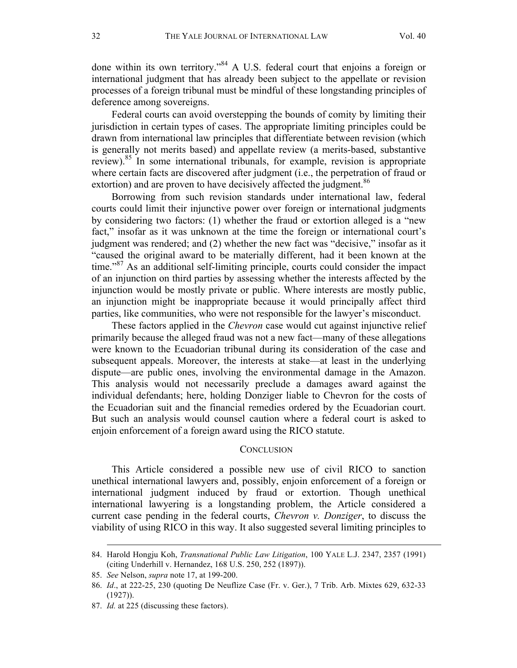done within its own territory."<sup>84</sup> A U.S. federal court that enjoins a foreign or international judgment that has already been subject to the appellate or revision processes of a foreign tribunal must be mindful of these longstanding principles of deference among sovereigns.

Federal courts can avoid overstepping the bounds of comity by limiting their jurisdiction in certain types of cases. The appropriate limiting principles could be drawn from international law principles that differentiate between revision (which is generally not merits based) and appellate review (a merits-based, substantive review).<sup>85</sup> In some international tribunals, for example, revision is appropriate where certain facts are discovered after judgment (i.e., the perpetration of fraud or extortion) and are proven to have decisively affected the judgment.<sup>86</sup>

Borrowing from such revision standards under international law, federal courts could limit their injunctive power over foreign or international judgments by considering two factors: (1) whether the fraud or extortion alleged is a "new fact," insofar as it was unknown at the time the foreign or international court's judgment was rendered; and (2) whether the new fact was "decisive," insofar as it "caused the original award to be materially different, had it been known at the time."<sup>87</sup> As an additional self-limiting principle, courts could consider the impact of an injunction on third parties by assessing whether the interests affected by the injunction would be mostly private or public. Where interests are mostly public, an injunction might be inappropriate because it would principally affect third parties, like communities, who were not responsible for the lawyer's misconduct.

These factors applied in the *Chevron* case would cut against injunctive relief primarily because the alleged fraud was not a new fact—many of these allegations were known to the Ecuadorian tribunal during its consideration of the case and subsequent appeals. Moreover, the interests at stake—at least in the underlying dispute—are public ones, involving the environmental damage in the Amazon. This analysis would not necessarily preclude a damages award against the individual defendants; here, holding Donziger liable to Chevron for the costs of the Ecuadorian suit and the financial remedies ordered by the Ecuadorian court. But such an analysis would counsel caution where a federal court is asked to enjoin enforcement of a foreign award using the RICO statute.

#### **CONCLUSION**

This Article considered a possible new use of civil RICO to sanction unethical international lawyers and, possibly, enjoin enforcement of a foreign or international judgment induced by fraud or extortion. Though unethical international lawyering is a longstanding problem, the Article considered a current case pending in the federal courts, *Chevron v. Donziger*, to discuss the viability of using RICO in this way. It also suggested several limiting principles to

 <sup>84.</sup> Harold Hongju Koh, *Transnational Public Law Litigation*, 100 YALE L.J. 2347, 2357 (1991) (citing Underhill v. Hernandez, 168 U.S. 250, 252 (1897)).

<sup>85.</sup> *See* Nelson, *supra* note 17, at 199-200.

<sup>86.</sup> *Id*., at 222-25, 230 (quoting De Neuflize Case (Fr. v. Ger.), 7 Trib. Arb. Mixtes 629, 632-33  $(1927)$ ).

<sup>87.</sup> *Id.* at 225 (discussing these factors).